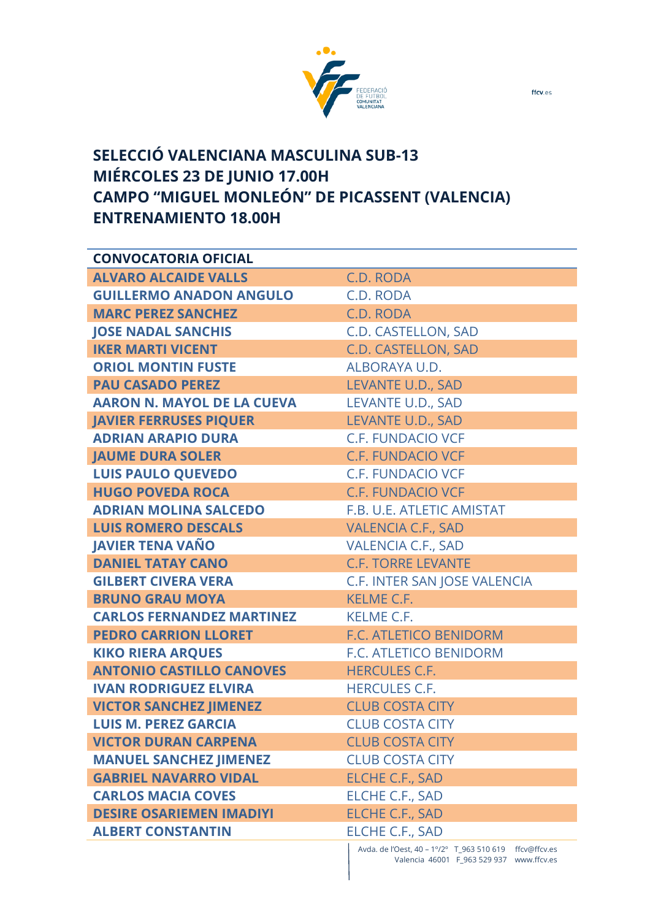

## **SELECCIÓ VALENCIANA MASCULINA SUB-13 MIÉRCOLES 23 DE JUNIO 17.00H CAMPO "MIGUEL MONLEÓN" DE PICASSENT (VALENCIA) ENTRENAMIENTO 18.00H**

| <b>CONVOCATORIA OFICIAL</b>       |                                                      |
|-----------------------------------|------------------------------------------------------|
| <b>ALVARO ALCAIDE VALLS</b>       | C.D. RODA                                            |
| <b>GUILLERMO ANADON ANGULO</b>    | C.D. RODA                                            |
| <b>MARC PEREZ SANCHEZ</b>         | C.D. RODA                                            |
| <b>JOSE NADAL SANCHIS</b>         | C.D. CASTELLON, SAD                                  |
| <b>IKER MARTI VICENT</b>          | C.D. CASTELLON, SAD                                  |
| <b>ORIOL MONTIN FUSTE</b>         | ALBORAYA U.D.                                        |
| <b>PAU CASADO PEREZ</b>           | LEVANTE U.D., SAD                                    |
| <b>AARON N. MAYOL DE LA CUEVA</b> | LEVANTE U.D., SAD                                    |
| <b>JAVIER FERRUSES PIQUER</b>     | LEVANTE U.D., SAD                                    |
| <b>ADRIAN ARAPIO DURA</b>         | <b>C.F. FUNDACIO VCF</b>                             |
| <b>JAUME DURA SOLER</b>           | <b>C.F. FUNDACIO VCF</b>                             |
| <b>LUIS PAULO QUEVEDO</b>         | <b>C.F. FUNDACIO VCF</b>                             |
| <b>HUGO POVEDA ROCA</b>           | <b>C.F. FUNDACIO VCF</b>                             |
| <b>ADRIAN MOLINA SALCEDO</b>      | F.B. U.E. ATLETIC AMISTAT                            |
| <b>LUIS ROMERO DESCALS</b>        | <b>VALENCIA C.F., SAD</b>                            |
| <b>JAVIER TENA VAÑO</b>           | <b>VALENCIA C.F., SAD</b>                            |
| <b>DANIEL TATAY CANO</b>          | <b>C.F. TORRE LEVANTE</b>                            |
| <b>GILBERT CIVERA VERA</b>        | C.F. INTER SAN JOSE VALENCIA                         |
| <b>BRUNO GRAU MOYA</b>            | <b>KELME C.F.</b>                                    |
| <b>CARLOS FERNANDEZ MARTINEZ</b>  | <b>KELME C.F.</b>                                    |
| <b>PEDRO CARRION LLORET</b>       | F.C. ATLETICO BENIDORM                               |
| <b>KIKO RIERA ARQUES</b>          | F.C. ATLETICO BENIDORM                               |
| <b>ANTONIO CASTILLO CANOVES</b>   | <b>HERCULES C.F.</b>                                 |
| <b>IVAN RODRIGUEZ ELVIRA</b>      | <b>HERCULES C.F.</b>                                 |
| <b>VICTOR SANCHEZ JIMENEZ</b>     | <b>CLUB COSTA CITY</b>                               |
| <b>LUIS M. PEREZ GARCIA</b>       | <b>CLUB COSTA CITY</b>                               |
| <b>VICTOR DURAN CARPENA</b>       | <b>CLUB COSTA CITY</b>                               |
| <b>MANUEL SANCHEZ JIMENEZ</b>     | <b>CLUB COSTA CITY</b>                               |
| <b>GABRIEL NAVARRO VIDAL</b>      | <b>ELCHE C.F., SAD</b>                               |
| <b>CARLOS MACIA COVES</b>         | <b>ELCHE C.F., SAD</b>                               |
| <b>DESIRE OSARIEMEN IMADIYI</b>   | <b>ELCHE C.F., SAD</b>                               |
| <b>ALBERT CONSTANTIN</b>          | <b>ELCHE C.F., SAD</b>                               |
|                                   | Avda de l'Oest 40 - 19/29 T 963 510 619 ffry@ffry es |

Avda. de l'Oest, 40 – 1 $\degree$ /2 $\degree$  T\_963 510 619 ffcv@ffcv.es Valencia 46001 F\_963 529 937 www.ffcv.es